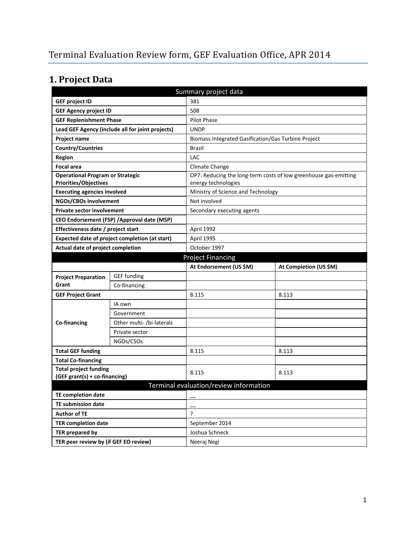# **1. Project Data**

|                                                | Summary project data                             |                                                     |                                                                  |  |
|------------------------------------------------|--------------------------------------------------|-----------------------------------------------------|------------------------------------------------------------------|--|
| <b>GEF project ID</b>                          |                                                  | 381                                                 |                                                                  |  |
| <b>GEF Agency project ID</b>                   |                                                  | 508                                                 |                                                                  |  |
| <b>GEF Replenishment Phase</b>                 |                                                  | <b>Pilot Phase</b>                                  |                                                                  |  |
|                                                | Lead GEF Agency (include all for joint projects) | <b>UNDP</b>                                         |                                                                  |  |
| <b>Project name</b>                            |                                                  | Biomass Integrated Gasification/Gas Turbine Project |                                                                  |  |
| <b>Country/Countries</b>                       |                                                  | <b>Brazil</b>                                       |                                                                  |  |
| <b>Region</b>                                  |                                                  | LAC                                                 |                                                                  |  |
| <b>Focal area</b>                              |                                                  | Climate Change                                      |                                                                  |  |
| <b>Operational Program or Strategic</b>        |                                                  |                                                     | OP7: Reducing the long-term costs of low greenhouse gas-emitting |  |
| Priorities/Objectives                          |                                                  | energy technologies                                 |                                                                  |  |
| <b>Executing agencies involved</b>             |                                                  | Ministry of Science and Technology                  |                                                                  |  |
| NGOs/CBOs involvement                          |                                                  | Not involved                                        |                                                                  |  |
| <b>Private sector involvement</b>              |                                                  | Secondary executing agents                          |                                                                  |  |
|                                                | CEO Endorsement (FSP) / Approval date (MSP)      |                                                     |                                                                  |  |
| Effectiveness date / project start             |                                                  | April 1992                                          |                                                                  |  |
| Expected date of project completion (at start) |                                                  | April 1995                                          |                                                                  |  |
| Actual date of project completion              |                                                  | October 1997                                        |                                                                  |  |
| <b>Project Financing</b>                       |                                                  |                                                     |                                                                  |  |
|                                                |                                                  | At Endorsement (US \$M)                             | At Completion (US \$M)                                           |  |
| <b>Project Preparation</b>                     | <b>GEF</b> funding                               |                                                     |                                                                  |  |
| Grant                                          | Co-financing                                     |                                                     |                                                                  |  |
| <b>GEF Project Grant</b>                       |                                                  | 8.115                                               | 8.113                                                            |  |
|                                                | IA own                                           |                                                     |                                                                  |  |
|                                                | Government                                       |                                                     |                                                                  |  |
| Co-financing                                   | Other multi- /bi-laterals                        |                                                     |                                                                  |  |
|                                                | Private sector                                   |                                                     |                                                                  |  |
|                                                | NGOs/CSOs                                        |                                                     |                                                                  |  |
| <b>Total GEF funding</b>                       |                                                  | 8.115                                               | 8.113                                                            |  |
| <b>Total Co-financing</b>                      |                                                  |                                                     |                                                                  |  |
| <b>Total project funding</b>                   |                                                  | 8.115                                               | 8.113                                                            |  |
| (GEF grant(s) + co-financing)                  |                                                  |                                                     |                                                                  |  |
|                                                |                                                  | Terminal evaluation/review information              |                                                                  |  |
| <b>TE completion date</b>                      |                                                  |                                                     |                                                                  |  |
| TE submission date                             |                                                  |                                                     |                                                                  |  |
| <b>Author of TE</b>                            |                                                  | ?                                                   |                                                                  |  |
| <b>TER completion date</b>                     |                                                  | September 2014                                      |                                                                  |  |
| TER prepared by                                |                                                  | Joshua Schneck                                      |                                                                  |  |
| TER peer review by (if GEF EO review)          |                                                  | Neeraj Negi                                         |                                                                  |  |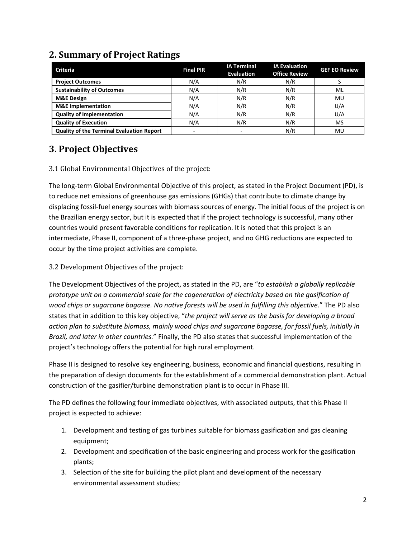| <b>Criteria</b>                                  | <b>Final PIR</b>         | <b>IA Terminal</b><br><b>Evaluation</b> | <b>IA Evaluation</b><br><b>Office Review</b> | <b>GEF EO Review</b> |
|--------------------------------------------------|--------------------------|-----------------------------------------|----------------------------------------------|----------------------|
| <b>Project Outcomes</b>                          | N/A                      | N/R                                     | N/R                                          |                      |
| <b>Sustainability of Outcomes</b>                | N/A                      | N/R                                     | N/R                                          | ML                   |
| <b>M&amp;E Design</b>                            | N/A                      | N/R                                     | N/R                                          | MU                   |
| <b>M&amp;E</b> Implementation                    | N/A                      | N/R                                     | N/R                                          | U/A                  |
| <b>Quality of Implementation</b>                 | N/A                      | N/R                                     | N/R                                          | U/A                  |
| <b>Quality of Execution</b>                      | N/A                      | N/R                                     | N/R                                          | MS                   |
| <b>Quality of the Terminal Evaluation Report</b> | $\overline{\phantom{a}}$ | $\overline{\phantom{0}}$                | N/R                                          | MU                   |

## **2. Summary of Project Ratings**

## **3. Project Objectives**

#### 3.1 Global Environmental Objectives of the project:

The long-term Global Environmental Objective of this project, as stated in the Project Document (PD), is to reduce net emissions of greenhouse gas emissions (GHGs) that contribute to climate change by displacing fossil-fuel energy sources with biomass sources of energy. The initial focus of the project is on the Brazilian energy sector, but it is expected that if the project technology is successful, many other countries would present favorable conditions for replication. It is noted that this project is an intermediate, Phase II, component of a three-phase project, and no GHG reductions are expected to occur by the time project activities are complete.

#### 3.2 Development Objectives of the project:

The Development Objectives of the project, as stated in the PD, are "*to establish a globally replicable prototype unit on a commercial scale for the cogeneration of electricity based on the gasification of wood chips or sugarcane bagasse. No native forests will be used in fulfilling this objective*." The PD also states that in addition to this key objective, "*the project will serve as the basis for developing a broad action plan to substitute biomass, mainly wood chips and sugarcane bagasse, for fossil fuels, initially in Brazil, and later in other countries.*" Finally, the PD also states that successful implementation of the project's technology offers the potential for high rural employment.

Phase II is designed to resolve key engineering, business, economic and financial questions, resulting in the preparation of design documents for the establishment of a commercial demonstration plant. Actual construction of the gasifier/turbine demonstration plant is to occur in Phase III.

The PD defines the following four immediate objectives, with associated outputs, that this Phase II project is expected to achieve:

- 1. Development and testing of gas turbines suitable for biomass gasification and gas cleaning equipment;
- 2. Development and specification of the basic engineering and process work for the gasification plants;
- 3. Selection of the site for building the pilot plant and development of the necessary environmental assessment studies;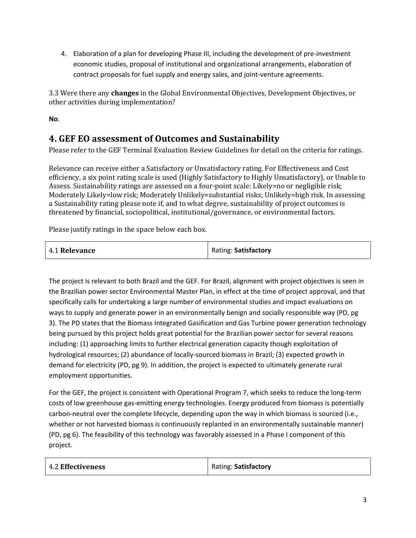4. Elaboration of a plan for developing Phase III, including the development of pre-investment economic studies, proposal of institutional and organizational arrangements, elaboration of contract proposals for fuel supply and energy sales, and joint-venture agreements.

3.3 Were there any **changes** in the Global Environmental Objectives, Development Objectives, or other activities during implementation?

**No**.

## **4. GEF EO assessment of Outcomes and Sustainability**

Please refer to the GEF Terminal Evaluation Review Guidelines for detail on the criteria for ratings.

Relevance can receive either a Satisfactory or Unsatisfactory rating. For Effectiveness and Cost efficiency, a six point rating scale is used (Highly Satisfactory to Highly Unsatisfactory), or Unable to Assess. Sustainability ratings are assessed on a four-point scale: Likely=no or negligible risk; Moderately Likely=low risk; Moderately Unlikely=substantial risks; Unlikely=high risk. In assessing a Sustainability rating please note if, and to what degree, sustainability of project outcomes is threatened by financial, sociopolitical, institutional/governance, or environmental factors.

Please justify ratings in the space below each box.

| 4.1 Relevance | Rating: Satisfactory |
|---------------|----------------------|
|---------------|----------------------|

The project is relevant to both Brazil and the GEF. For Brazil, alignment with project objectives is seen in the Brazilian power sector Environmental Master Plan, in effect at the time of project approval, and that specifically calls for undertaking a large number of environmental studies and impact evaluations on ways to supply and generate power in an environmentally benign and socially responsible way (PD, pg 3). The PD states that the Biomass Integrated Gasification and Gas Turbine power generation technology being pursued by this project holds great potential for the Brazilian power sector for several reasons including: (1) approaching limits to further electrical generation capacity though exploitation of hydrological resources; (2) abundance of locally-sourced biomass in Brazil; (3) expected growth in demand for electricity (PD, pg 9). In addition, the project is expected to ultimately generate rural employment opportunities.

For the GEF, the project is consistent with Operational Program 7, which seeks to reduce the long-term costs of low greenhouse gas-emitting energy technologies. Energy produced from biomass is potentially carbon-neutral over the complete lifecycle, depending upon the way in which biomass is sourced (i.e., whether or not harvested biomass is continuously replanted in an environmentally sustainable manner) (PD, pg 6). The feasibility of this technology was favorably assessed in a Phase I component of this project.

| 4.2 Effectiveness | Rating: Satisfactory |
|-------------------|----------------------|
|                   |                      |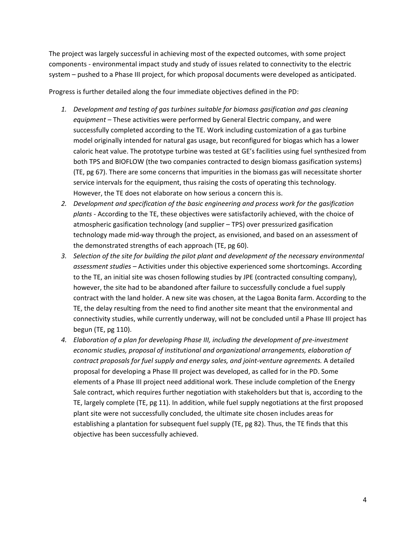The project was largely successful in achieving most of the expected outcomes, with some project components - environmental impact study and study of issues related to connectivity to the electric system – pushed to a Phase III project, for which proposal documents were developed as anticipated.

Progress is further detailed along the four immediate objectives defined in the PD:

- *1. Development and testing of gas turbines suitable for biomass gasification and gas cleaning equipment –* These activities were performed by General Electric company, and were successfully completed according to the TE. Work including customization of a gas turbine model originally intended for natural gas usage, but reconfigured for biogas which has a lower caloric heat value. The prototype turbine was tested at GE's facilities using fuel synthesized from both TPS and BIOFLOW (the two companies contracted to design biomass gasification systems) (TE, pg 67). There are some concerns that impurities in the biomass gas will necessitate shorter service intervals for the equipment, thus raising the costs of operating this technology. However, the TE does not elaborate on how serious a concern this is.
- *2. Development and specification of the basic engineering and process work for the gasification plants -* According to the TE, these objectives were satisfactorily achieved, with the choice of atmospheric gasification technology (and supplier – TPS) over pressurized gasification technology made mid-way through the project, as envisioned, and based on an assessment of the demonstrated strengths of each approach (TE, pg 60).
- *3. Selection of the site for building the pilot plant and development of the necessary environmental assessment studies –* Activities under this objective experienced some shortcomings. According to the TE, an initial site was chosen following studies by JPE (contracted consulting company), however, the site had to be abandoned after failure to successfully conclude a fuel supply contract with the land holder. A new site was chosen, at the Lagoa Bonita farm. According to the TE, the delay resulting from the need to find another site meant that the environmental and connectivity studies, while currently underway, will not be concluded until a Phase III project has begun (TE, pg 110).
- *4. Elaboration of a plan for developing Phase III, including the development of pre-investment economic studies, proposal of institutional and organizational arrangements, elaboration of contract proposals for fuel supply and energy sales, and joint-venture agreements.* A detailed proposal for developing a Phase III project was developed, as called for in the PD. Some elements of a Phase III project need additional work. These include completion of the Energy Sale contract, which requires further negotiation with stakeholders but that is, according to the TE, largely complete (TE, pg 11). In addition, while fuel supply negotiations at the first proposed plant site were not successfully concluded, the ultimate site chosen includes areas for establishing a plantation for subsequent fuel supply (TE, pg 82). Thus, the TE finds that this objective has been successfully achieved.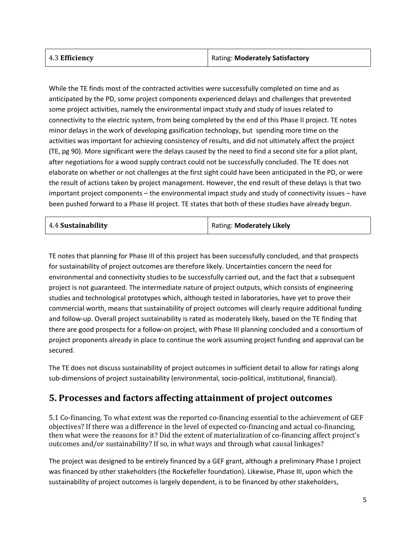| Rating: Moderately Satisfactory |
|---------------------------------|
|                                 |

While the TE finds most of the contracted activities were successfully completed on time and as anticipated by the PD, some project components experienced delays and challenges that prevented some project activities, namely the environmental impact study and study of issues related to connectivity to the electric system, from being completed by the end of this Phase II project. TE notes minor delays in the work of developing gasification technology, but spending more time on the activities was important for achieving consistency of results, and did not ultimately affect the project (TE, pg 90). More significant were the delays caused by the need to find a second site for a pilot plant, after negotiations for a wood supply contract could not be successfully concluded. The TE does not elaborate on whether or not challenges at the first sight could have been anticipated in the PD, or were the result of actions taken by project management. However, the end result of these delays is that two important project components – the environmental impact study and study of connectivity issues – have been pushed forward to a Phase III project. TE states that both of these studies have already begun.

| Rating: Moderately Likely |
|---------------------------|
|                           |

TE notes that planning for Phase III of this project has been successfully concluded, and that prospects for sustainability of project outcomes are therefore likely. Uncertainties concern the need for environmental and connectivity studies to be successfully carried out, and the fact that a subsequent project is not guaranteed. The intermediate nature of project outputs, which consists of engineering studies and technological prototypes which, although tested in laboratories, have yet to prove their commercial worth, means that sustainability of project outcomes will clearly require additional funding and follow-up. Overall project sustainability is rated as moderately likely, based on the TE finding that there are good prospects for a follow-on project, with Phase III planning concluded and a consortium of project proponents already in place to continue the work assuming project funding and approval can be secured.

The TE does not discuss sustainability of project outcomes in sufficient detail to allow for ratings along sub-dimensions of project sustainability (environmental, socio-political, institutional, financial).

### **5. Processes and factors affecting attainment of project outcomes**

5.1 Co-financing. To what extent was the reported co-financing essential to the achievement of GEF objectives? If there was a difference in the level of expected co-financing and actual co-financing, then what were the reasons for it? Did the extent of materialization of co-financing affect project's outcomes and/or sustainability? If so, in what ways and through what causal linkages?

The project was designed to be entirely financed by a GEF grant, although a preliminary Phase I project was financed by other stakeholders (the Rockefeller foundation). Likewise, Phase III, upon which the sustainability of project outcomes is largely dependent, is to be financed by other stakeholders,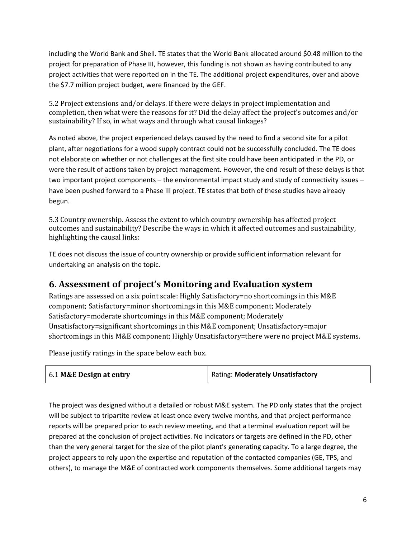including the World Bank and Shell. TE states that the World Bank allocated around \$0.48 million to the project for preparation of Phase III, however, this funding is not shown as having contributed to any project activities that were reported on in the TE. The additional project expenditures, over and above the \$7.7 million project budget, were financed by the GEF.

5.2 Project extensions and/or delays. If there were delays in project implementation and completion, then what were the reasons for it? Did the delay affect the project's outcomes and/or sustainability? If so, in what ways and through what causal linkages?

As noted above, the project experienced delays caused by the need to find a second site for a pilot plant, after negotiations for a wood supply contract could not be successfully concluded. The TE does not elaborate on whether or not challenges at the first site could have been anticipated in the PD, or were the result of actions taken by project management. However, the end result of these delays is that two important project components – the environmental impact study and study of connectivity issues – have been pushed forward to a Phase III project. TE states that both of these studies have already begun.

5.3 Country ownership. Assess the extent to which country ownership has affected project outcomes and sustainability? Describe the ways in which it affected outcomes and sustainability, highlighting the causal links:

TE does not discuss the issue of country ownership or provide sufficient information relevant for undertaking an analysis on the topic.

### **6. Assessment of project's Monitoring and Evaluation system**

Ratings are assessed on a six point scale: Highly Satisfactory=no shortcomings in this M&E component; Satisfactory=minor shortcomings in this M&E component; Moderately Satisfactory=moderate shortcomings in this M&E component; Moderately Unsatisfactory=significant shortcomings in this M&E component; Unsatisfactory=major shortcomings in this M&E component; Highly Unsatisfactory=there were no project M&E systems.

Please justify ratings in the space below each box.

| 6.1 M&E Design at entry | Rating: Moderately Unsatisfactory |
|-------------------------|-----------------------------------|
|-------------------------|-----------------------------------|

The project was designed without a detailed or robust M&E system. The PD only states that the project will be subject to tripartite review at least once every twelve months, and that project performance reports will be prepared prior to each review meeting, and that a terminal evaluation report will be prepared at the conclusion of project activities. No indicators or targets are defined in the PD, other than the very general target for the size of the pilot plant's generating capacity. To a large degree, the project appears to rely upon the expertise and reputation of the contacted companies (GE, TPS, and others), to manage the M&E of contracted work components themselves. Some additional targets may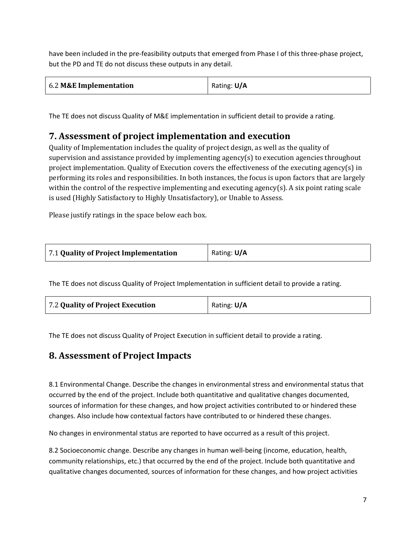have been included in the pre-feasibility outputs that emerged from Phase I of this three-phase project, but the PD and TE do not discuss these outputs in any detail.

| 6.2 M&E Implementation | Rating: U/A |
|------------------------|-------------|
|------------------------|-------------|

The TE does not discuss Quality of M&E implementation in sufficient detail to provide a rating.

### **7. Assessment of project implementation and execution**

Quality of Implementation includes the quality of project design, as well as the quality of supervision and assistance provided by implementing agency(s) to execution agencies throughout project implementation. Quality of Execution covers the effectiveness of the executing agency(s) in performing its roles and responsibilities. In both instances, the focus is upon factors that are largely within the control of the respective implementing and executing agency(s). A six point rating scale is used (Highly Satisfactory to Highly Unsatisfactory), or Unable to Assess.

Please justify ratings in the space below each box.

| 7.1 Quality of Project Implementation | Rating: U/A |
|---------------------------------------|-------------|
|                                       |             |

The TE does not discuss Quality of Project Implementation in sufficient detail to provide a rating.

| 7.2 Quality of Project Execution | Rating: U/A |
|----------------------------------|-------------|
|----------------------------------|-------------|

The TE does not discuss Quality of Project Execution in sufficient detail to provide a rating.

### **8. Assessment of Project Impacts**

8.1 Environmental Change. Describe the changes in environmental stress and environmental status that occurred by the end of the project. Include both quantitative and qualitative changes documented, sources of information for these changes, and how project activities contributed to or hindered these changes. Also include how contextual factors have contributed to or hindered these changes.

No changes in environmental status are reported to have occurred as a result of this project.

8.2 Socioeconomic change. Describe any changes in human well-being (income, education, health, community relationships, etc.) that occurred by the end of the project. Include both quantitative and qualitative changes documented, sources of information for these changes, and how project activities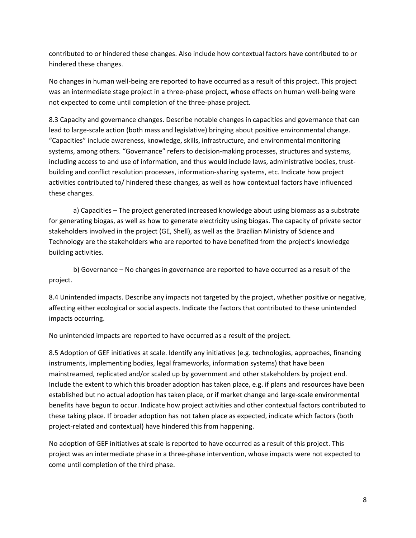contributed to or hindered these changes. Also include how contextual factors have contributed to or hindered these changes.

No changes in human well-being are reported to have occurred as a result of this project. This project was an intermediate stage project in a three-phase project, whose effects on human well-being were not expected to come until completion of the three-phase project.

8.3 Capacity and governance changes. Describe notable changes in capacities and governance that can lead to large-scale action (both mass and legislative) bringing about positive environmental change. "Capacities" include awareness, knowledge, skills, infrastructure, and environmental monitoring systems, among others. "Governance" refers to decision-making processes, structures and systems, including access to and use of information, and thus would include laws, administrative bodies, trustbuilding and conflict resolution processes, information-sharing systems, etc. Indicate how project activities contributed to/ hindered these changes, as well as how contextual factors have influenced these changes.

a) Capacities – The project generated increased knowledge about using biomass as a substrate for generating biogas, as well as how to generate electricity using biogas. The capacity of private sector stakeholders involved in the project (GE, Shell), as well as the Brazilian Ministry of Science and Technology are the stakeholders who are reported to have benefited from the project's knowledge building activities.

b) Governance – No changes in governance are reported to have occurred as a result of the project.

8.4 Unintended impacts. Describe any impacts not targeted by the project, whether positive or negative, affecting either ecological or social aspects. Indicate the factors that contributed to these unintended impacts occurring.

No unintended impacts are reported to have occurred as a result of the project.

8.5 Adoption of GEF initiatives at scale. Identify any initiatives (e.g. technologies, approaches, financing instruments, implementing bodies, legal frameworks, information systems) that have been mainstreamed, replicated and/or scaled up by government and other stakeholders by project end. Include the extent to which this broader adoption has taken place, e.g. if plans and resources have been established but no actual adoption has taken place, or if market change and large-scale environmental benefits have begun to occur. Indicate how project activities and other contextual factors contributed to these taking place. If broader adoption has not taken place as expected, indicate which factors (both project-related and contextual) have hindered this from happening.

No adoption of GEF initiatives at scale is reported to have occurred as a result of this project. This project was an intermediate phase in a three-phase intervention, whose impacts were not expected to come until completion of the third phase.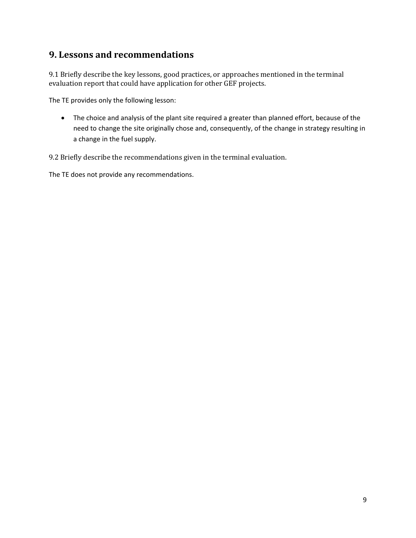## **9. Lessons and recommendations**

9.1 Briefly describe the key lessons, good practices, or approaches mentioned in the terminal evaluation report that could have application for other GEF projects.

The TE provides only the following lesson:

• The choice and analysis of the plant site required a greater than planned effort, because of the need to change the site originally chose and, consequently, of the change in strategy resulting in a change in the fuel supply.

9.2 Briefly describe the recommendations given in the terminal evaluation.

The TE does not provide any recommendations.